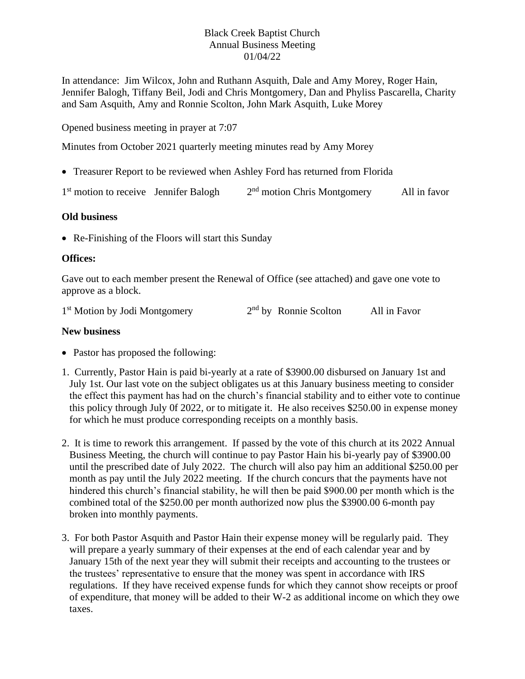### Black Creek Baptist Church Annual Business Meeting 01/04/22

In attendance: Jim Wilcox, John and Ruthann Asquith, Dale and Amy Morey, Roger Hain, Jennifer Balogh, Tiffany Beil, Jodi and Chris Montgomery, Dan and Phyliss Pascarella, Charity and Sam Asquith, Amy and Ronnie Scolton, John Mark Asquith, Luke Morey

Opened business meeting in prayer at 7:07

Minutes from October 2021 quarterly meeting minutes read by Amy Morey

• Treasurer Report to be reviewed when Ashley Ford has returned from Florida

1<sup>st</sup> motion to receive Jennifer Balogh 2  $2<sup>nd</sup>$  motion Chris Montgomery All in favor

### **Old business**

• Re-Finishing of the Floors will start this Sunday

### **Offices:**

Gave out to each member present the Renewal of Office (see attached) and gave one vote to approve as a block.

1<sup>st</sup> Motion by Jodi Montgomery 2  $2<sup>nd</sup>$  by Ronnie Scolton All in Favor

### **New business**

- Pastor has proposed the following:
- 1. Currently, Pastor Hain is paid bi-yearly at a rate of \$3900.00 disbursed on January 1st and July 1st. Our last vote on the subject obligates us at this January business meeting to consider the effect this payment has had on the church's financial stability and to either vote to continue this policy through July 0f 2022, or to mitigate it. He also receives \$250.00 in expense money for which he must produce corresponding receipts on a monthly basis.
- 2. It is time to rework this arrangement. If passed by the vote of this church at its 2022 Annual Business Meeting, the church will continue to pay Pastor Hain his bi-yearly pay of \$3900.00 until the prescribed date of July 2022. The church will also pay him an additional \$250.00 per month as pay until the July 2022 meeting. If the church concurs that the payments have not hindered this church's financial stability, he will then be paid \$900.00 per month which is the combined total of the \$250.00 per month authorized now plus the \$3900.00 6-month pay broken into monthly payments.
- 3. For both Pastor Asquith and Pastor Hain their expense money will be regularly paid. They will prepare a yearly summary of their expenses at the end of each calendar year and by January 15th of the next year they will submit their receipts and accounting to the trustees or the trustees' representative to ensure that the money was spent in accordance with IRS regulations. If they have received expense funds for which they cannot show receipts or proof of expenditure, that money will be added to their W-2 as additional income on which they owe taxes.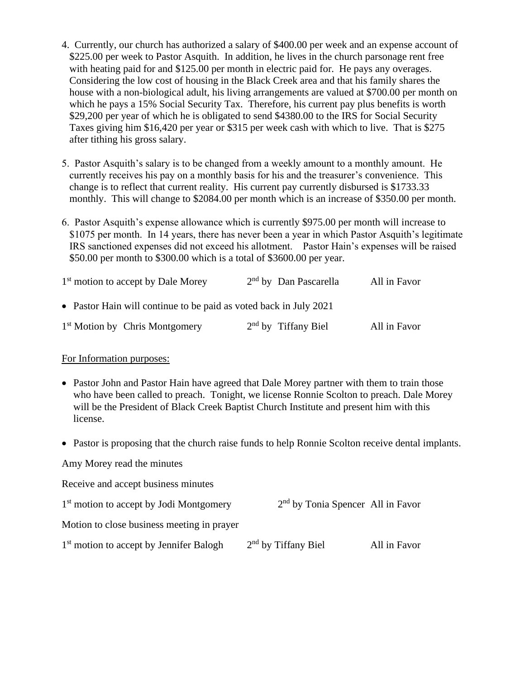- 4. Currently, our church has authorized a salary of \$400.00 per week and an expense account of \$225.00 per week to Pastor Asquith. In addition, he lives in the church parsonage rent free with heating paid for and \$125.00 per month in electric paid for. He pays any overages. Considering the low cost of housing in the Black Creek area and that his family shares the house with a non-biological adult, his living arrangements are valued at \$700.00 per month on which he pays a 15% Social Security Tax. Therefore, his current pay plus benefits is worth \$29,200 per year of which he is obligated to send \$4380.00 to the IRS for Social Security Taxes giving him \$16,420 per year or \$315 per week cash with which to live. That is \$275 after tithing his gross salary.
- 5. Pastor Asquith's salary is to be changed from a weekly amount to a monthly amount. He currently receives his pay on a monthly basis for his and the treasurer's convenience. This change is to reflect that current reality. His current pay currently disbursed is \$1733.33 monthly. This will change to \$2084.00 per month which is an increase of \$350.00 per month.
- 6. Pastor Asquith's expense allowance which is currently \$975.00 per month will increase to \$1075 per month. In 14 years, there has never been a year in which Pastor Asquith's legitimate IRS sanctioned expenses did not exceed his allotment. Pastor Hain's expenses will be raised \$50.00 per month to \$300.00 which is a total of \$3600.00 per year.

| 1 <sup>st</sup> motion to accept by Dale Morey                    | $2nd$ by Dan Pascarella | All in Favor |
|-------------------------------------------------------------------|-------------------------|--------------|
| • Pastor Hain will continue to be paid as voted back in July 2021 |                         |              |
| 1 <sup>st</sup> Motion by Chris Montgomery                        | $2nd$ by Tiffany Biel   | All in Favor |

## For Information purposes:

- Pastor John and Pastor Hain have agreed that Dale Morey partner with them to train those who have been called to preach. Tonight, we license Ronnie Scolton to preach. Dale Morey will be the President of Black Creek Baptist Church Institute and present him with this license.
- Pastor is proposing that the church raise funds to help Ronnie Scolton receive dental implants.

# Amy Morey read the minutes Receive and accept business minutes 1<sup>st</sup> motion to accept by Jodi Montgomery 2  $2<sup>nd</sup>$  by Tonia Spencer All in Favor Motion to close business meeting in prayer 1<sup>st</sup> motion to accept by Jennifer Balogh 2  $2<sup>nd</sup>$  by Tiffany Biel All in Favor